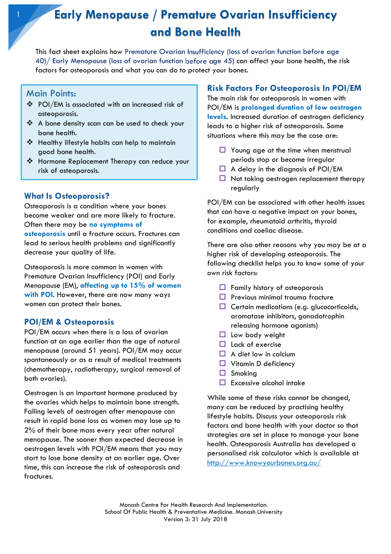# Early Menopause / Premature Ovarian Insufficiency and Bone Health

This fact sheet explains how Premature Ovarian Insufficiency (loss of ovarian function before age 40)/ Early Menopause (loss of ovarian function before age 45) can affect your bone health, the risk factors for osteoporosis and what you can do to protect your bones.

# Main Points:

- POI/EM is associated with an increased risk of osteoporosis.
- A bone density scan can be used to check your bone health.
- Healthy lifestyle habits can help to maintain good bone health.
- Hormone Replacement Therapy can reduce your risk of osteoporosis.

## What Is Osteoporosis?

Osteoporosis is a condition where your bones become weaker and are more likely to fracture. Often there may be no symptoms of

osteoporosis until a fracture occurs. Fractures can lead to serious health problems and significantly decrease your quality of life.

Osteoporosis is more common in women with Premature Ovarian Insufficiency (POI) and Early Menopause (EM), affecting up to  $15\%$  of women with POI. However, there are now many ways women can protect their bones.

## POI/EM & Osteoporosis

POI/EM occurs when there is a loss of ovarian function at an age earlier than the age of natural menopause (around 51 years). POI/EM may occur spontaneously or as a result of medical treatments (chemotherapy, radiotherapy, surgical removal of both ovaries).

Oestrogen is an important hormone produced by the ovaries which helps to maintain bone strength. Falling levels of oestrogen after menopause can result in rapid bone loss as women may lose up to 2% of their bone mass every year after natural menopause. The sooner than expected decrease in oestrogen levels with POI/EM means that you may start to lose bone density at an earlier age. Over time, this can increase the risk of osteoporosis and fractures.

## Risk Factors For Osteoporosis In POI/EM

The main risk for osteoporosis in women with POI/EM is prolonged duration of low oestrogen levels. Increased duration of oestrogen deficiency leads to a higher risk of osteoporosis. Some situations where this may be the case are:

- $\Box$  Young age at the time when menstrual periods stop or become irregular
- $\Box$  A delay in the diagnosis of POI/EM
- $\Box$  Not taking oestrogen replacement therapy regularly

POI/EM can be associated with other health issues that can have a negative impact on your bones, for example, rheumatoid arthritis, thyroid conditions and coeliac disease.

There are also other reasons why you may be at a higher risk of developing osteoporosis. The following checklist helps you to know some of your own risk factors:

- $\Box$  Family history of osteoporosis
- $\Box$  Previous minimal trauma fracture
- $\Box$  Certain medications (e.g. glucocorticoids, aromatase inhibitors, gonadotrophin releasing hormone agonists)
- $\Box$  Low body weight
- $\Box$  Lack of exercise
- $\Box$  A diet low in calcium
- $\Box$  Vitamin D deficiency
- $\Box$  Smoking
- $\Box$  Excessive alcohol intake

While some of these risks cannot be changed, many can be reduced by practising healthy lifestyle habits. Discuss your osteoporosis risk factors and bone health with your doctor so that strategies are set in place to manage your bone health. Osteoporosis Australia has developed a personalised risk calculator which is available at http://www.knowyourbones.org.au/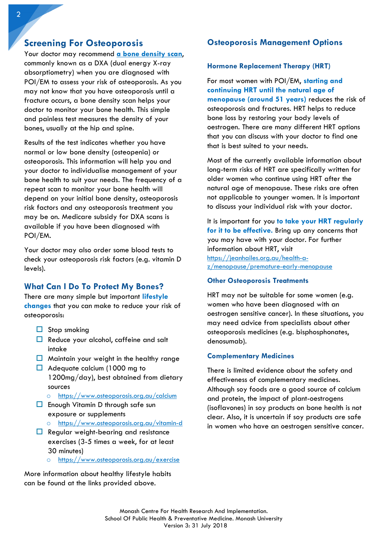# Screening For Osteoporosis

Your doctor may recommend a bone density scan, commonly known as a DXA (dual energy X-ray absorptiometry) when you are diagnosed with POI/EM to assess your risk of osteoporosis. As you may not know that you have osteoporosis until a fracture occurs, a bone density scan helps your doctor to monitor your bone health. This simple and painless test measures the density of your bones, usually at the hip and spine.

Results of the test indicates whether you have normal or low bone density (osteopenia) or osteoporosis. This information will help you and your doctor to individualise management of your bone health to suit your needs. The frequency of a repeat scan to monitor your bone health will depend on your initial bone density, osteoporosis risk factors and any osteoporosis treatment you may be on. Medicare subsidy for DXA scans is available if you have been diagnosed with POI/EM.

Your doctor may also order some blood tests to check your osteoporosis risk factors (e.g. vitamin D levels).

# What Can I Do To Protect My Bones?

There are many simple but important lifestyle changes that you can make to reduce your risk of osteoporosis:

- $\Box$  Stop smoking
- $\Box$  Reduce your alcohol, caffeine and salt intake
- $\Box$  Maintain your weight in the healthy range
- $\Box$  Adequate calcium (1000 mg to 1200mg/day), best obtained from dietary sources
	- o https://www.osteoporosis.org.au/calcium
- $\Box$  Enough Vitamin D through safe sun exposure or supplements
	- o https://www.osteoporosis.org.au/vitamin-d
- $\Box$  Regular weight-bearing and resistance exercises (3-5 times a week, for at least 30 minutes)
	- https://www.osteoporosis.org.au/exercise

More information about healthy lifestyle habits can be found at the links provided above.

# Osteoporosis Management Options

#### Hormone Replacement Therapy (HRT)

For most women with POI/EM, starting and continuing HRT until the natural age of menopause (around 51 years) reduces the risk of osteoporosis and fractures. HRT helps to reduce bone loss by restoring your body levels of oestrogen. There are many different HRT options that you can discuss with your doctor to find one that is best suited to your needs.

Most of the currently available information about long-term risks of HRT are specifically written for older women who continue using HRT after the natural age of menopause. These risks are often not applicable to younger women. It is important to discuss your individual risk with your doctor.

It is important for you to take your HRT regularly for it to be effective. Bring up any concerns that you may have with your doctor. For further information about HRT, visit https://jeanhailes.org.au/health-az/menopause/premature-early-menopause

#### Other Osteoporosis Treatments

HRT may not be suitable for some women (e.g. women who have been diagnosed with an oestrogen sensitive cancer). In these situations, you may need advice from specialists about other osteoporosis medicines (e.g. bisphosphonates, denosumab).

#### Complementary Medicines

There is limited evidence about the safety and effectiveness of complementary medicines. Although soy foods are a good source of calcium and protein, the impact of plant-oestrogens (isoflavones) in soy products on bone health is not clear. Also, it is uncertain if soy products are safe in women who have an oestrogen sensitive cancer.